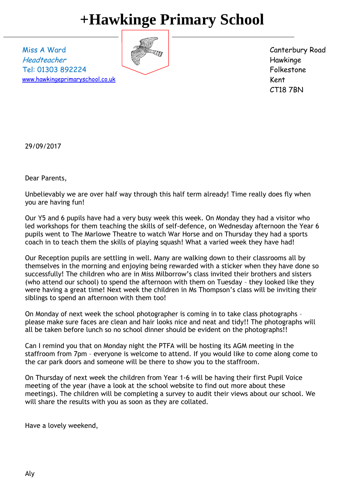## **+Hawkinge Primary School**

Miss A Ward Headteacher Tel: 01303 892224 [www.hawkingeprimaryschool.co.uk](http://www.hawkingeprimaryschool.co.uk/)



Canterbury Road Hawkinge Folkestone Kent CT18 7BN

29/09/2017

Dear Parents,

Unbelievably we are over half way through this half term already! Time really does fly when you are having fun!

Our Y5 and 6 pupils have had a very busy week this week. On Monday they had a visitor who led workshops for them teaching the skills of self-defence, on Wednesday afternoon the Year 6 pupils went to The Marlowe Theatre to watch War Horse and on Thursday they had a sports coach in to teach them the skills of playing squash! What a varied week they have had!

Our Reception pupils are settling in well. Many are walking down to their classrooms all by themselves in the morning and enjoying being rewarded with a sticker when they have done so successfully! The children who are in Miss Milborrow's class invited their brothers and sisters (who attend our school) to spend the afternoon with them on Tuesday – they looked like they were having a great time! Next week the children in Ms Thompson's class will be inviting their siblings to spend an afternoon with them too!

On Monday of next week the school photographer is coming in to take class photographs – please make sure faces are clean and hair looks nice and neat and tidy!! The photographs will all be taken before lunch so no school dinner should be evident on the photographs!!

Can I remind you that on Monday night the PTFA will be hosting its AGM meeting in the staffroom from 7pm – everyone is welcome to attend. If you would like to come along come to the car park doors and someone will be there to show you to the staffroom.

On Thursday of next week the children from Year 1-6 will be having their first Pupil Voice meeting of the year (have a look at the school website to find out more about these meetings). The children will be completing a survey to audit their views about our school. We will share the results with you as soon as they are collated.

Have a lovely weekend,